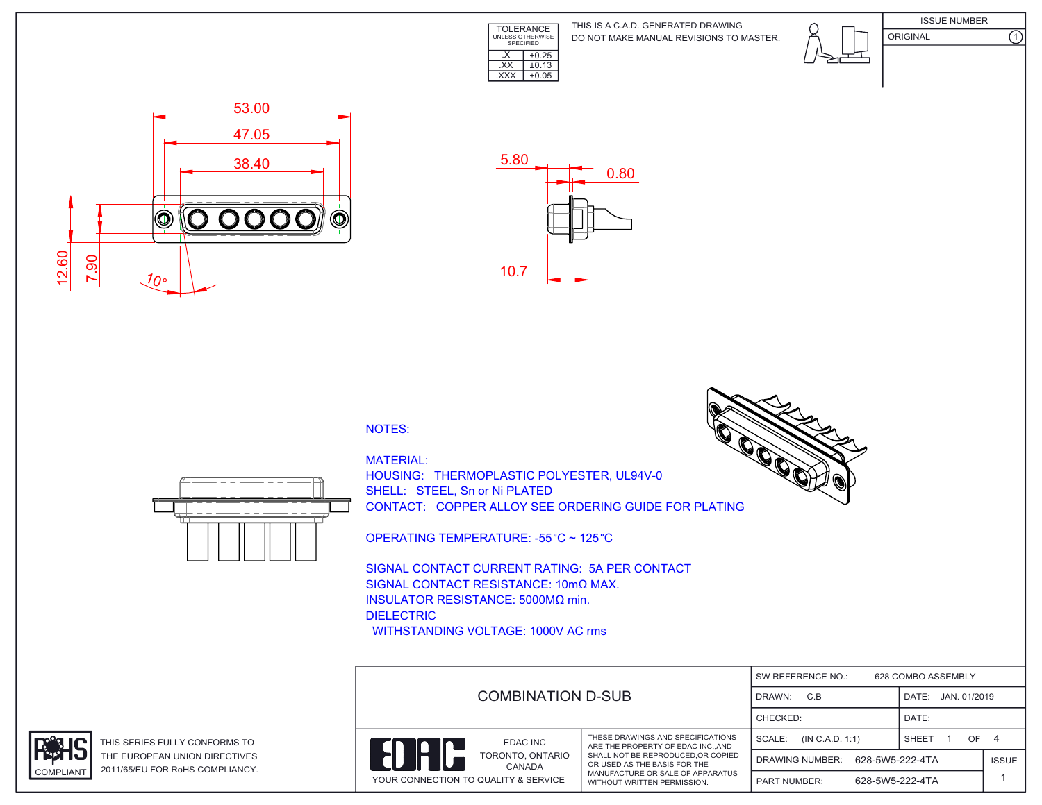

DO NOT MAKE MANUAL REVISIONS TO MASTER. THIS IS A C.A.D. GENERATED DRAWING





ORIGINAL (1)





## NOTES:



MATERIAL: HOUSING: THERMOPLASTIC POLYESTER, UL94V-0 SHELL: STEEL, Sn or Ni PLATED CONTACT: COPPER ALLOY SEE ORDERING GUIDE FOR PLATING

OPERATING TEMPERATURE: -55 °C ~ 125 °C

SIGNAL CONTACT CURRENT RATING: 5A PER CONTACT SIGNAL CONTACT RESISTANCE: 10mΩ MAX. INSULATOR RESISTANCE: 5000MΩ min. DIELECTRIC WITHSTANDING VOLTAGE: 1000V AC rms

DRAWN: C.B CHECKED: SW REFERENCE NO.: PART NUMBER: SCALE: (IN C.A.D. 1:1) YOUR CONNECTION TO QUALITY & SERVICE WITHOUT WRITTEN PERMISSION. THESE DRAWINGS AND SPECIFICATIONS ARE THE PROPERTY OF EDAC INC. AND SHALL NOT BE REPRODUCED,OR COPIED OR USED AS THE BASIS FOR THE MANUFACTURE OR SALE OF APPARATUS TORONTO, ONTARIO EDAC INC CANADA DATE: JAN. 01/2019 SHEET 1 628 COMBO ASSEMBLY 628-5W5-222-4TA DATE: 1 ISSUE COMBINATION D-SUB OF 4 DRAWING NUMBER: 628-5W5-222-4TA





THIS SERIES FULLY CONFORMS TO THE EUROPEAN UNION DIRECTIVES COMPLIANT 2011/65/EU FOR RoHS COMPLIANCY.

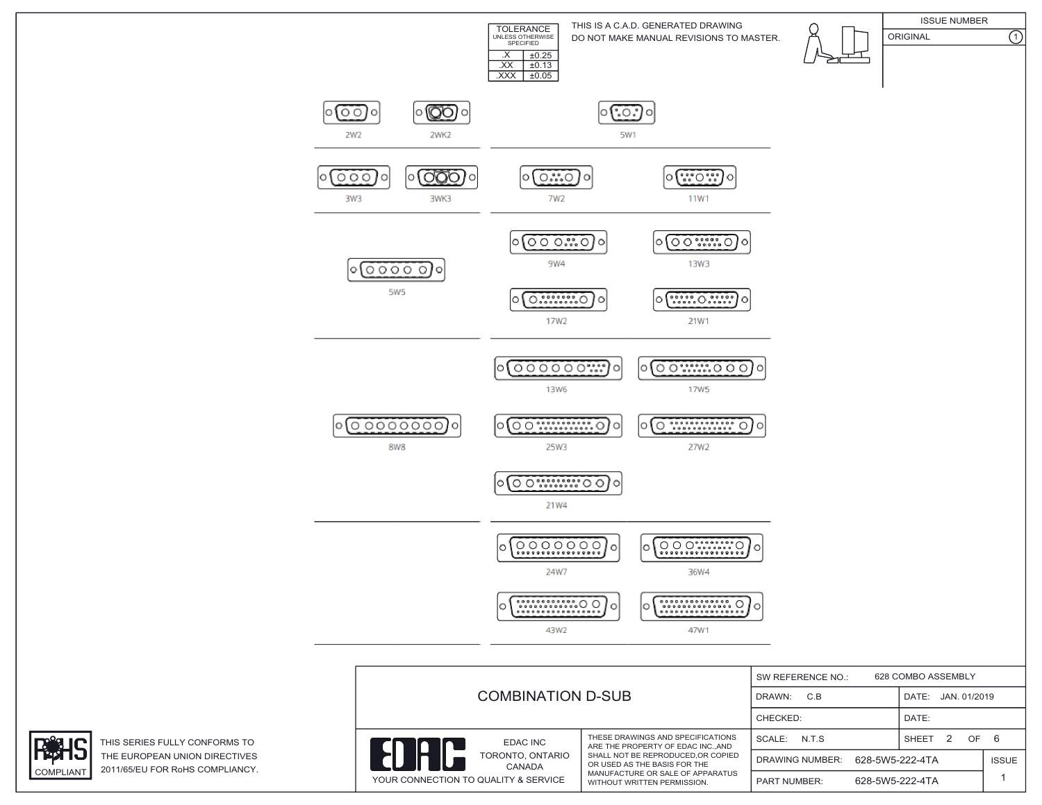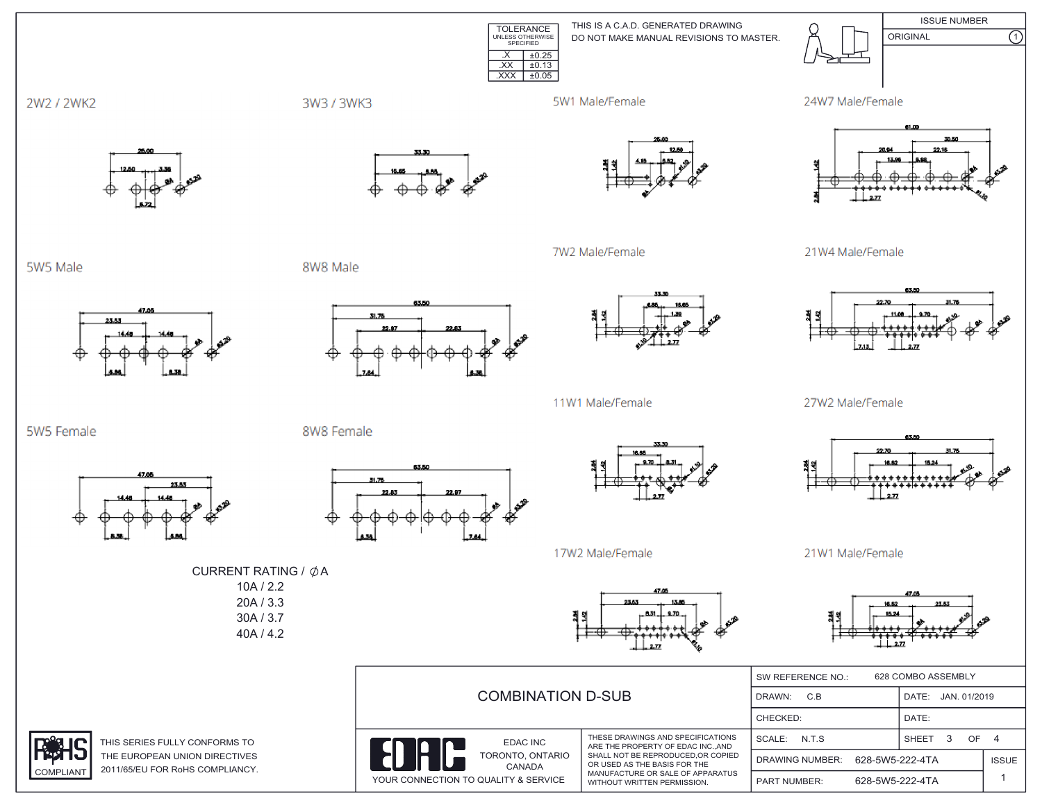TOLERANCE UNLESS OTHERWISE SPECIFIED  $\overline{XX}$   $\pm 0.13$ .XXX ±0.05DO NOT MAKE MANUAL REVISIONS TO MASTER. THIS IS A C.A.D. GENERATED DRAWING ISSUE NUMBER ORIGINAL (1)  $\overline{\text{X}}$   $\pm 0.25$ 









21W4 Male/Female



27W2 Male/Female



21W1 Male/Female

16.62

|                                                                                | 628 COMBO ASSEMBLY<br>SW REFERENCE NO.:                                                                                                                                                                       |                                    |                 |                       |  |
|--------------------------------------------------------------------------------|---------------------------------------------------------------------------------------------------------------------------------------------------------------------------------------------------------------|------------------------------------|-----------------|-----------------------|--|
| <b>COMBINATION D-SUB</b>                                                       |                                                                                                                                                                                                               | C.B<br>DRAWN:                      |                 | JAN. 01/2019<br>DATE: |  |
|                                                                                |                                                                                                                                                                                                               | CHECKED:                           |                 | DATE:                 |  |
| EDAC INC<br>TORONTO, ONTARIO<br>CANADA<br>YOUR CONNECTION TO QUALITY & SERVICE | THESE DRAWINGS AND SPECIFICATIONS<br>ARE THE PROPERTY OF EDAC INCAND<br>SHALL NOT BE REPRODUCED, OR COPIED<br>OR USED AS THE BASIS FOR THE<br>MANUFACTURE OR SALE OF APPARATUS<br>WITHOUT WRITTEN PERMISSION. | N.T.S<br>SCALE:                    |                 | OF.<br><b>SHEET</b>   |  |
|                                                                                |                                                                                                                                                                                                               | 628-5W5-222-4TA<br>DRAWING NUMBER: |                 | <b>ISSUE</b>          |  |
|                                                                                |                                                                                                                                                                                                               | <b>PART NUMBER:</b>                | 628-5W5-222-4TA |                       |  |

2W2 / 2WK2

5W5 Male

5W5 Female



47.00

23.53



63.50

31.76



7W2 Male/Female



8W8 Female

8W8 Male



11W1 Male/Female



17W2 Male/Female

CURRENT RATING /  $\phi$ A 10A / 2.2 20A / 3.3 30A / 3.7 40A / 4.2







THIS SERIES FULLY CONFORMS TO THE EUROPEAN UNION DIRECTIVES COMPLIANT 2011/65/EU FOR RoHS COMPLIANCY.

23.53